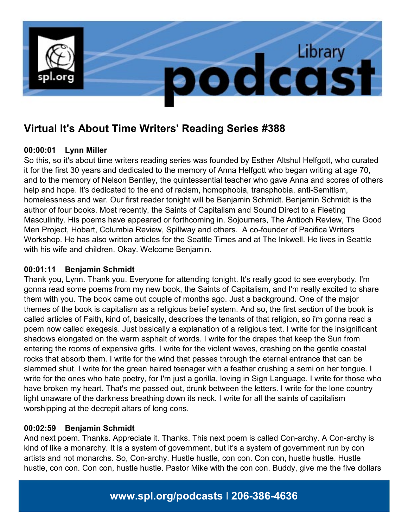

# **Virtual It's About Time Writers' Reading Series #388**

# **00:00:01 Lynn Miller**

So this, so it's about time writers reading series was founded by Esther Altshul Helfgott, who curated it for the first 30 years and dedicated to the memory of Anna Helfgott who began writing at age 70, and to the memory of Nelson Bentley, the quintessential teacher who gave Anna and scores of others help and hope. It's dedicated to the end of racism, homophobia, transphobia, anti-Semitism, homelessness and war. Our first reader tonight will be Benjamin Schmidt. Benjamin Schmidt is the author of four books. Most recently, the Saints of Capitalism and Sound Direct to a Fleeting Masculinity. His poems have appeared or forthcoming in. Sojourners, The Antioch Review, The Good Men Project, Hobart, Columbia Review, Spillway and others. A co-founder of Pacifica Writers Workshop. He has also written articles for the Seattle Times and at The Inkwell. He lives in Seattle with his wife and children. Okay. Welcome Benjamin.

# **00:01:11 Benjamin Schmidt**

Thank you, Lynn. Thank you. Everyone for attending tonight. It's really good to see everybody. I'm gonna read some poems from my new book, the Saints of Capitalism, and I'm really excited to share them with you. The book came out couple of months ago. Just a background. One of the major themes of the book is capitalism as a religious belief system. And so, the first section of the book is called articles of Faith, kind of, basically, describes the tenants of that religion, so i'm gonna read a poem now called exegesis. Just basically a explanation of a religious text. I write for the insignificant shadows elongated on the warm asphalt of words. I write for the drapes that keep the Sun from entering the rooms of expensive gifts. I write for the violent waves, crashing on the gentle coastal rocks that absorb them. I write for the wind that passes through the eternal entrance that can be slammed shut. I write for the green haired teenager with a feather crushing a semi on her tongue. I write for the ones who hate poetry, for I'm just a gorilla, loving in Sign Language. I write for those who have broken my heart. That's me passed out, drunk between the letters. I write for the lone country light unaware of the darkness breathing down its neck. I write for all the saints of capitalism worshipping at the decrepit altars of long cons.

# **00:02:59 Benjamin Schmidt**

And next poem. Thanks. Appreciate it. Thanks. This next poem is called Con-archy. A Con-archy is kind of like a monarchy. It is a system of government, but it's a system of government run by con artists and not monarchs. So, Con-archy. Hustle hustle, con con. Con con, hustle hustle. Hustle hustle, con con. Con con, hustle hustle. Pastor Mike with the con con. Buddy, give me the five dollars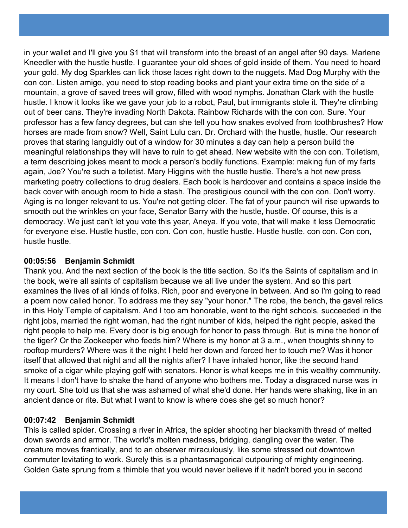in your wallet and I'll give you \$1 that will transform into the breast of an angel after 90 days. Marlene Kneedler with the hustle hustle. I guarantee your old shoes of gold inside of them. You need to hoard your gold. My dog Sparkles can lick those laces right down to the nuggets. Mad Dog Murphy with the con con. Listen amigo, you need to stop reading books and plant your extra time on the side of a mountain, a grove of saved trees will grow, filled with wood nymphs. Jonathan Clark with the hustle hustle. I know it looks like we gave your job to a robot, Paul, but immigrants stole it. They're climbing out of beer cans. They're invading North Dakota. Rainbow Richards with the con con. Sure. Your professor has a few fancy degrees, but can she tell you how snakes evolved from toothbrushes? How horses are made from snow? Well, Saint Lulu can. Dr. Orchard with the hustle, hustle. Our research proves that staring languidly out of a window for 30 minutes a day can help a person build the meaningful relationships they will have to ruin to get ahead. New website with the con con. Toiletism, a term describing jokes meant to mock a person's bodily functions. Example: making fun of my farts again, Joe? You're such a toiletist. Mary Higgins with the hustle hustle. There's a hot new press marketing poetry collections to drug dealers. Each book is hardcover and contains a space inside the back cover with enough room to hide a stash. The prestigious council with the con con. Don't worry. Aging is no longer relevant to us. You're not getting older. The fat of your paunch will rise upwards to smooth out the wrinkles on your face, Senator Barry with the hustle, hustle. Of course, this is a democracy. We just can't let you vote this year, Aneya. If you vote, that will make it less Democratic for everyone else. Hustle hustle, con con. Con con, hustle hustle. Hustle hustle. con con. Con con, hustle hustle.

## **00:05:56 Benjamin Schmidt**

Thank you. And the next section of the book is the title section. So it's the Saints of capitalism and in the book, we're all saints of capitalism because we all live under the system. And so this part examines the lives of all kinds of folks. Rich, poor and everyone in between. And so I'm going to read a poem now called honor. To address me they say "your honor." The robe, the bench, the gavel relics in this Holy Temple of capitalism. And I too am honorable, went to the right schools, succeeded in the right jobs, married the right woman, had the right number of kids, helped the right people, asked the right people to help me. Every door is big enough for honor to pass through. But is mine the honor of the tiger? Or the Zookeeper who feeds him? Where is my honor at 3 a.m., when thoughts shinny to rooftop murders? Where was it the night I held her down and forced her to touch me? Was it honor itself that allowed that night and all the nights after? I have inhaled honor, like the second hand smoke of a cigar while playing golf with senators. Honor is what keeps me in this wealthy community. It means I don't have to shake the hand of anyone who bothers me. Today a disgraced nurse was in my court. She told us that she was ashamed of what she'd done. Her hands were shaking, like in an ancient dance or rite. But what I want to know is where does she get so much honor?

#### **00:07:42 Benjamin Schmidt**

This is called spider. Crossing a river in Africa, the spider shooting her blacksmith thread of melted down swords and armor. The world's molten madness, bridging, dangling over the water. The creature moves frantically, and to an observer miraculously, like some stressed out downtown commuter levitating to work. Surely this is a phantasmagorical outpouring of mighty engineering. Golden Gate sprung from a thimble that you would never believe if it hadn't bored you in second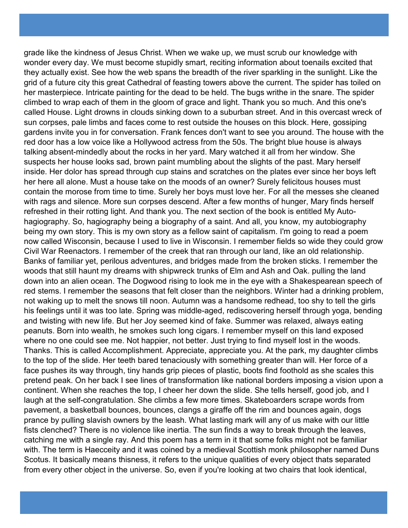grade like the kindness of Jesus Christ. When we wake up, we must scrub our knowledge with wonder every day. We must become stupidly smart, reciting information about toenails excited that they actually exist. See how the web spans the breadth of the river sparkling in the sunlight. Like the grid of a future city this great Cathedral of feasting towers above the current. The spider has toiled on her masterpiece. Intricate painting for the dead to be held. The bugs writhe in the snare. The spider climbed to wrap each of them in the gloom of grace and light. Thank you so much. And this one's called House. Light drowns in clouds sinking down to a suburban street. And in this overcast wreck of sun corpses, pale limbs and faces come to rest outside the houses on this block. Here, gossiping gardens invite you in for conversation. Frank fences don't want to see you around. The house with the red door has a low voice like a Hollywood actress from the 50s. The bright blue house is always talking absent-mindedly about the rocks in her yard. Mary watched it all from her window. She suspects her house looks sad, brown paint mumbling about the slights of the past. Mary herself inside. Her dolor has spread through cup stains and scratches on the plates ever since her boys left her here all alone. Must a house take on the moods of an owner? Surely felicitous houses must contain the morose from time to time. Surely her boys must love her. For all the messes she cleaned with rags and silence. More sun corpses descend. After a few months of hunger, Mary finds herself refreshed in their rotting light. And thank you. The next section of the book is entitled My Autohagiography. So, hagiography being a biography of a saint. And all, you know, my autobiography being my own story. This is my own story as a fellow saint of capitalism. I'm going to read a poem now called Wisconsin, because I used to live in Wisconsin. I remember fields so wide they could grow Civil War Reenactors. I remember of the creek that ran through our land, like an old relationship. Banks of familiar yet, perilous adventures, and bridges made from the broken sticks. I remember the woods that still haunt my dreams with shipwreck trunks of Elm and Ash and Oak. pulling the land down into an alien ocean. The Dogwood rising to look me in the eye with a Shakespearean speech of red stems. I remember the seasons that felt closer than the neighbors. Winter had a drinking problem, not waking up to melt the snows till noon. Autumn was a handsome redhead, too shy to tell the girls his feelings until it was too late. Spring was middle-aged, rediscovering herself through yoga, bending and twisting with new life. But her Joy seemed kind of fake. Summer was relaxed, always eating peanuts. Born into wealth, he smokes such long cigars. I remember myself on this land exposed where no one could see me. Not happier, not better. Just trying to find myself lost in the woods. Thanks. This is called Accomplishment. Appreciate, appreciate you. At the park, my daughter climbs to the top of the slide. Her teeth bared tenaciously with something greater than will. Her force of a face pushes its way through, tiny hands grip pieces of plastic, boots find foothold as she scales this pretend peak. On her back I see lines of transformation like national borders imposing a vision upon a continent. When she reaches the top, I cheer her down the slide. She tells herself, good job, and I laugh at the self-congratulation. She climbs a few more times. Skateboarders scrape words from pavement, a basketball bounces, bounces, clangs a giraffe off the rim and bounces again, dogs prance by pulling slavish owners by the leash. What lasting mark will any of us make with our little fists clenched? There is no violence like inertia. The sun finds a way to break through the leaves, catching me with a single ray. And this poem has a term in it that some folks might not be familiar with. The term is Haecceity and it was coined by a medieval Scottish monk philosopher named Duns Scotus. It basically means thisness, it refers to the unique qualities of every object thats separated from every other object in the universe. So, even if you're looking at two chairs that look identical,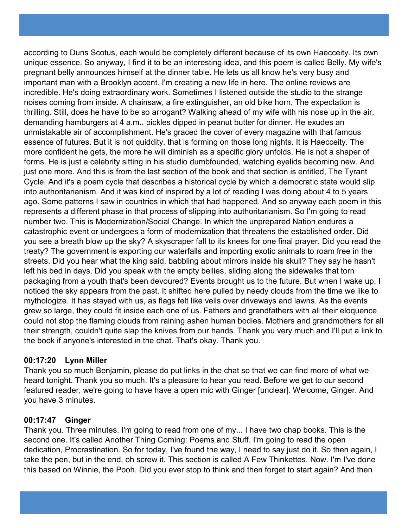according to Duns Scotus, each would be completely different because of its own Haecceity. Its own unique essence. So anyway, I find it to be an interesting idea, and this poem is called Belly. My wife's pregnant belly announces himself at the dinner table. He lets us all know he's very busy and important man with a Brooklyn accent. I'm creating a new life in here. The online reviews are incredible. He's doing extraordinary work. Sometimes I listened outside the studio to the strange noises coming from inside. A chainsaw, a fire extinguisher, an old bike horn. The expectation is thrilling. Still, does he have to be so arrogant? Walking ahead of my wife with his nose up in the air, demanding hamburgers at 4 a.m., pickles dipped in peanut butter for dinner. He exudes an unmistakable air of accomplishment. He's graced the cover of every magazine with that famous essence of futures. But it is not quiddity, that is forming on those long nights. It is Haecceity. The more confident he gets, the more he will diminish as a specific glory unfolds. He is not a shaper of forms. He is just a celebrity sitting in his studio dumbfounded, watching eyelids becoming new. And just one more. And this is from the last section of the book and that section is entitled, The Tyrant Cycle. And it's a poem cycle that describes a historical cycle by which a democratic state would slip into authoritarianism. And it was kind of inspired by a lot of reading I was doing about 4 to 5 years ago. Some patterns I saw in countries in which that had happened. And so anyway each poem in this represents a different phase in that process of slipping into authoritarianism. So I'm going to read number two. This is Modernization/Social Change. In which the unprepared Nation endures a catastrophic event or undergoes a form of modernization that threatens the established order. Did you see a breath blow up the sky? A skyscraper fall to its knees for one final prayer. Did you read the treaty? The government is exporting our waterfalls and importing exotic animals to roam free in the streets. Did you hear what the king said, babbling about mirrors inside his skull? They say he hasn't left his bed in days. Did you speak with the empty bellies, sliding along the sidewalks that torn packaging from a youth that's been devoured? Events brought us to the future. But when I wake up, I noticed the sky appears from the past. It shifted here pulled by needy clouds from the time we like to mythologize. It has stayed with us, as flags felt like veils over driveways and lawns. As the events grew so large, they could fit inside each one of us. Fathers and grandfathers with all their eloquence could not stop the flaming clouds from raining ashen human bodies. Mothers and grandmothers for all their strength, couldn't quite slap the knives from our hands. Thank you very much and I'll put a link to the book if anyone's interested in the chat. That's okay. Thank you.

#### **00:17:20 Lynn Miller**

Thank you so much Benjamin, please do put links in the chat so that we can find more of what we heard tonight. Thank you so much. It's a pleasure to hear you read. Before we get to our second featured reader, we're going to have have a open mic with Ginger [unclear]. Welcome, Ginger. And you have 3 minutes.

#### **00:17:47 Ginger**

Thank you. Three minutes. I'm going to read from one of my... I have two chap books. This is the second one. It's called Another Thing Coming: Poems and Stuff. I'm going to read the open dedication, Procrastination. So for today, I've found the way, I need to say just do it. So then again, I take the pen, but in the end, oh screw it. This section is called A Few Thinkettes. Now. I'm I've done this based on Winnie, the Pooh. Did you ever stop to think and then forget to start again? And then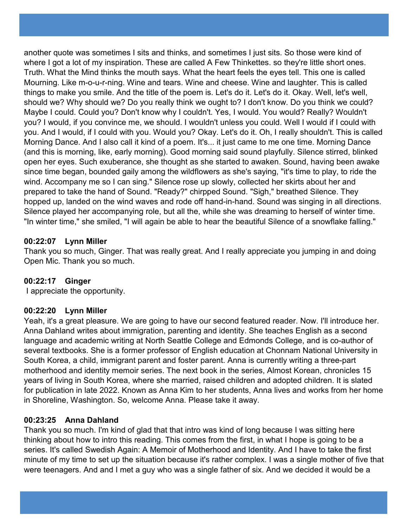another quote was sometimes I sits and thinks, and sometimes I just sits. So those were kind of where I got a lot of my inspiration. These are called A Few Thinkettes. so they're little short ones. Truth. What the Mind thinks the mouth says. What the heart feels the eyes tell. This one is called Mourning. Like m-o-u-r-ning. Wine and tears. Wine and cheese. Wine and laughter. This is called things to make you smile. And the title of the poem is. Let's do it. Let's do it. Okay. Well, let's well, should we? Why should we? Do you really think we ought to? I don't know. Do you think we could? Maybe I could. Could you? Don't know why I couldn't. Yes, I would. You would? Really? Wouldn't you? I would, if you convince me, we should. I wouldn't unless you could. Well I would if I could with you. And I would, if I could with you. Would you? Okay. Let's do it. Oh, I really shouldn't. This is called Morning Dance. And I also call it kind of a poem. It's... it just came to me one time. Morning Dance (and this is morning, like, early morning). Good morning said sound playfully. Silence stirred, blinked open her eyes. Such exuberance, she thought as she started to awaken. Sound, having been awake since time began, bounded gaily among the wildflowers as she's saying, "it's time to play, to ride the wind. Accompany me so I can sing." Silence rose up slowly, collected her skirts about her and prepared to take the hand of Sound. "Ready?" chirpped Sound. "Sigh," breathed Silence. They hopped up, landed on the wind waves and rode off hand-in-hand. Sound was singing in all directions. Silence played her accompanying role, but all the, while she was dreaming to herself of winter time. "In winter time," she smiled, "I will again be able to hear the beautiful Silence of a snowflake falling."

## **00:22:07 Lynn Miller**

Thank you so much, Ginger. That was really great. And I really appreciate you jumping in and doing Open Mic. Thank you so much.

#### **00:22:17 Ginger**

I appreciate the opportunity.

#### **00:22:20 Lynn Miller**

Yeah, it's a great pleasure. We are going to have our second featured reader. Now. I'll introduce her. Anna Dahland writes about immigration, parenting and identity. She teaches English as a second language and academic writing at North Seattle College and Edmonds College, and is co-author of several textbooks. She is a former professor of English education at Chonnam National University in South Korea, a child, immigrant parent and foster parent. Anna is currently writing a three-part motherhood and identity memoir series. The next book in the series, Almost Korean, chronicles 15 years of living in South Korea, where she married, raised children and adopted children. It is slated for publication in late 2022. Known as Anna Kim to her students, Anna lives and works from her home in Shoreline, Washington. So, welcome Anna. Please take it away.

#### **00:23:25 Anna Dahland**

Thank you so much. I'm kind of glad that that intro was kind of long because I was sitting here thinking about how to intro this reading. This comes from the first, in what I hope is going to be a series. It's called Swedish Again: A Memoir of Motherhood and Identity. And I have to take the first minute of my time to set up the situation because it's rather complex. I was a single mother of five that were teenagers. And and I met a guy who was a single father of six. And we decided it would be a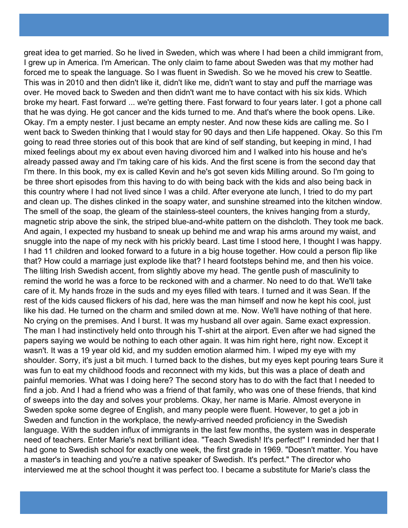great idea to get married. So he lived in Sweden, which was where I had been a child immigrant from, I grew up in America. I'm American. The only claim to fame about Sweden was that my mother had forced me to speak the language. So I was fluent in Swedish. So we he moved his crew to Seattle. This was in 2010 and then didn't like it, didn't like me, didn't want to stay and puff the marriage was over. He moved back to Sweden and then didn't want me to have contact with his six kids. Which broke my heart. Fast forward ... we're getting there. Fast forward to four years later. I got a phone call that he was dying. He got cancer and the kids turned to me. And that's where the book opens. Like. Okay. I'm a empty nester. I just became an empty nester. And now these kids are calling me. So I went back to Sweden thinking that I would stay for 90 days and then Life happened. Okay. So this I'm going to read three stories out of this book that are kind of self standing, but keeping in mind, I had mixed feelings about my ex about even having divorced him and I walked into his house and he's already passed away and I'm taking care of his kids. And the first scene is from the second day that I'm there. In this book, my ex is called Kevin and he's got seven kids Milling around. So I'm going to be three short episodes from this having to do with being back with the kids and also being back in this country where I had not lived since I was a child. After everyone ate lunch, I tried to do my part and clean up. The dishes clinked in the soapy water, and sunshine streamed into the kitchen window. The smell of the soap, the gleam of the stainless-steel counters, the knives hanging from a sturdy, magnetic strip above the sink, the striped blue-and-white pattern on the dishcloth. They took me back. And again, I expected my husband to sneak up behind me and wrap his arms around my waist, and snuggle into the nape of my neck with his prickly beard. Last time I stood here, I thought I was happy. I had 11 children and looked forward to a future in a big house together. How could a person flip like that? How could a marriage just explode like that? I heard footsteps behind me, and then his voice. The lilting Irish Swedish accent, from slightly above my head. The gentle push of masculinity to remind the world he was a force to be reckoned with and a charmer. No need to do that. We'll take care of it. My hands froze in the suds and my eyes filled with tears. I turned and it was Sean. If the rest of the kids caused flickers of his dad, here was the man himself and now he kept his cool, just like his dad. He turned on the charm and smiled down at me. Now. We'll have nothing of that here. No crying on the premises. And I burst. It was my husband all over again. Same exact expression. The man I had instinctively held onto through his T-shirt at the airport. Even after we had signed the papers saying we would be nothing to each other again. It was him right here, right now. Except it wasn't. It was a 19 year old kid, and my sudden emotion alarmed him. I wiped my eye with my shoulder. Sorry, it's just a bit much. I turned back to the dishes, but my eyes kept pouring tears Sure it was fun to eat my childhood foods and reconnect with my kids, but this was a place of death and painful memories. What was I doing here? The second story has to do with the fact that I needed to find a job. And I had a friend who was a friend of that family, who was one of these friends, that kind of sweeps into the day and solves your problems. Okay, her name is Marie. Almost everyone in Sweden spoke some degree of English, and many people were fluent. However, to get a job in Sweden and function in the workplace, the newly-arrived needed proficiency in the Swedish language. With the sudden influx of immigrants in the last few months, the system was in desperate need of teachers. Enter Marie's next brilliant idea. "Teach Swedish! It's perfect!" I reminded her that I had gone to Swedish school for exactly one week, the first grade in 1969. "Doesn't matter. You have a master's in teaching and you're a native speaker of Swedish. It's perfect." The director who interviewed me at the school thought it was perfect too. I became a substitute for Marie's class the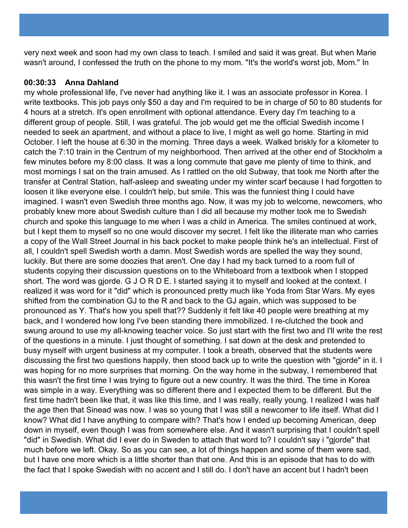very next week and soon had my own class to teach. I smiled and said it was great. But when Marie wasn't around, I confessed the truth on the phone to my mom. "It's the world's worst job, Mom." In

#### **00:30:33 Anna Dahland**

my whole professional life, I've never had anything like it. I was an associate professor in Korea. I write textbooks. This job pays only \$50 a day and I'm required to be in charge of 50 to 80 students for 4 hours at a stretch. It's open enrollment with optional attendance. Every day I'm teaching to a different group of people. Still, I was grateful. The job would get me the official Swedish income I needed to seek an apartment, and without a place to live, I might as well go home. Starting in mid October. I left the house at 6:30 in the morning. Three days a week. Walked briskly for a kilometer to catch the 7:10 train in the Centrum of my neighborhood. Then arrived at the other end of Stockholm a few minutes before my 8:00 class. It was a long commute that gave me plenty of time to think, and most mornings I sat on the train amused. As I rattled on the old Subway, that took me North after the transfer at Central Station, half-asleep and sweating under my winter scarf because I had forgotten to loosen it like everyone else. I couldn't help, but smile. This was the funniest thing I could have imagined. I wasn't even Swedish three months ago. Now, it was my job to welcome, newcomers, who probably knew more about Swedish culture than I did all because my mother took me to Swedish church and spoke this language to me when I was a child in America. The smiles continued at work, but I kept them to myself so no one would discover my secret. I felt like the illiterate man who carries a copy of the Wall Street Journal in his back pocket to make people think he's an intellectual. First of all, I couldn't spell Swedish worth a damn. Most Swedish words are spelled the way they sound, luckily. But there are some doozies that aren't. One day I had my back turned to a room full of students copying their discussion questions on to the Whiteboard from a textbook when I stopped short. The word was gjorde. G J O R D E. I started saying it to myself and looked at the context. I realized it was word for it "did" which is pronounced pretty much like Yoda from Star Wars. My eyes shifted from the combination GJ to the R and back to the GJ again, which was supposed to be pronounced as Y. That's how you spell that?? Suddenly it felt like 40 people were breathing at my back, and I wondered how long I've been standing there immobilized. I re-clutched the book and swung around to use my all-knowing teacher voice. So just start with the first two and I'll write the rest of the questions in a minute. I just thought of something. I sat down at the desk and pretended to busy myself with urgent business at my computer. I took a breath, observed that the students were discussing the first two questions happily, then stood back up to write the question with "gjorde" in it. I was hoping for no more surprises that morning. On the way home in the subway, I remembered that this wasn't the first time I was trying to figure out a new country. It was the third. The time in Korea was simple in a way. Everything was so different there and I expected them to be different. But the first time hadn't been like that, it was like this time, and I was really, really young. I realized I was half the age then that Sinead was now. I was so young that I was still a newcomer to life itself. What did I know? What did I have anything to compare with? That's how I ended up becoming American, deep down in myself, even though I was from somewhere else. And it wasn't surprising that I couldn't spell "did" in Swedish. What did I ever do in Sweden to attach that word to? I couldn't say i "gjorde" that much before we left. Okay. So as you can see, a lot of things happen and some of them were sad, but I have one more which is a little shorter than that one. And this is an episode that has to do with the fact that I spoke Swedish with no accent and I still do. I don't have an accent but I hadn't been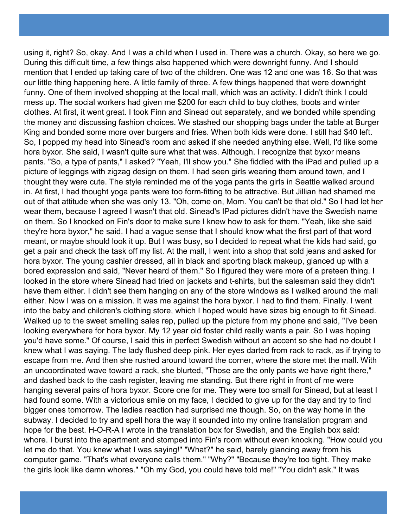using it, right? So, okay. And I was a child when I used in. There was a church. Okay, so here we go. During this difficult time, a few things also happened which were downright funny. And I should mention that I ended up taking care of two of the children. One was 12 and one was 16. So that was our little thing happening here. A little family of three. A few things happened that were downright funny. One of them involved shopping at the local mall, which was an activity. I didn't think I could mess up. The social workers had given me \$200 for each child to buy clothes, boots and winter clothes. At first, it went great. I took Finn and Sinead out separately, and we bonded while spending the money and discussing fashion choices. We stashed our shopping bags under the table at Burger King and bonded some more over burgers and fries. When both kids were done. I still had \$40 left. So, I popped my head into Sinead's room and asked if she needed anything else. Well, I'd like some hora byxor. She said, I wasn't quite sure what that was. Although. I recognize that byxor means pants. "So, a type of pants," I asked? "Yeah, I'll show you." She fiddled with the iPad and pulled up a picture of leggings with zigzag design on them. I had seen girls wearing them around town, and I thought they were cute. The style reminded me of the yoga pants the girls in Seattle walked around in. At first, I had thought yoga pants were too form-fitting to be attractive. But Jillian had shamed me out of that attitude when she was only 13. "Oh, come on, Mom. You can't be that old." So I had let her wear them, because I agreed I wasn't that old. Sinead's IPad pictures didn't have the Swedish name on them. So I knocked on Fin's door to make sure I knew how to ask for them. "Yeah, like she said they're hora byxor," he said. I had a vague sense that I should know what the first part of that word meant, or maybe should look it up. But I was busy, so I decided to repeat what the kids had said, go get a pair and check the task off my list. At the mall, I went into a shop that sold jeans and asked for hora byxor. The young cashier dressed, all in black and sporting black makeup, glanced up with a bored expression and said, "Never heard of them." So I figured they were more of a preteen thing. I looked in the store where Sinead had tried on jackets and t-shirts, but the salesman said they didn't have them either. I didn't see them hanging on any of the store windows as I walked around the mall either. Now I was on a mission. It was me against the hora byxor. I had to find them. Finally. I went into the baby and children's clothing store, which I hoped would have sizes big enough to fit Sinead. Walked up to the sweet smelling sales rep, pulled up the picture from my phone and said, "I've been looking everywhere for hora byxor. My 12 year old foster child really wants a pair. So I was hoping you'd have some." Of course, I said this in perfect Swedish without an accent so she had no doubt I knew what I was saying. The lady flushed deep pink. Her eyes darted from rack to rack, as if trying to escape from me. And then she rushed around toward the corner, where the store met the mall. With an uncoordinated wave toward a rack, she blurted, "Those are the only pants we have right there," and dashed back to the cash register, leaving me standing. But there right in front of me were hanging several pairs of hora byxor. Score one for me. They were too small for Sinead, but at least I had found some. With a victorious smile on my face, I decided to give up for the day and try to find bigger ones tomorrow. The ladies reaction had surprised me though. So, on the way home in the subway. I decided to try and spell hora the way it sounded into my online translation program and hope for the best. H-O-R-A I wrote in the translation box for Swedish, and the English box said: whore. I burst into the apartment and stomped into Fin's room without even knocking. "How could you let me do that. You knew what I was saying!" "What?" he said, barely glancing away from his computer game. "That's what everyone calls them." "Why?" "Because they're too tight. They make the girls look like damn whores." "Oh my God, you could have told me!" "You didn't ask." It was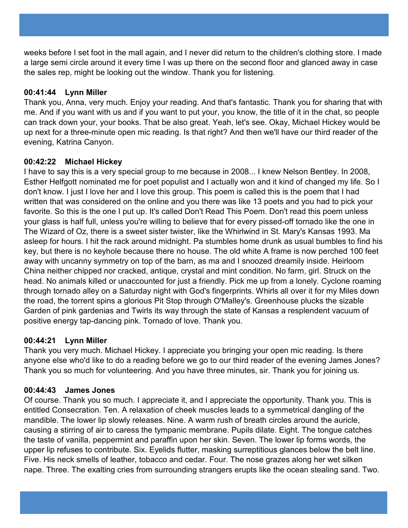weeks before I set foot in the mall again, and I never did return to the children's clothing store. I made a large semi circle around it every time I was up there on the second floor and glanced away in case the sales rep, might be looking out the window. Thank you for listening.

# **00:41:44 Lynn Miller**

Thank you, Anna, very much. Enjoy your reading. And that's fantastic. Thank you for sharing that with me. And if you want with us and if you want to put your, you know, the title of it in the chat, so people can track down your, your books. That be also great. Yeah, let's see. Okay, Michael Hickey would be up next for a three-minute open mic reading. Is that right? And then we'll have our third reader of the evening, Katrina Canyon.

## **00:42:22 Michael Hickey**

I have to say this is a very special group to me because in 2008... I knew Nelson Bentley. In 2008, Esther Helfgott nominated me for poet populist and I actually won and it kind of changed my life. So I don't know. I just I love her and I love this group. This poem is called this is the poem that I had written that was considered on the online and you there was like 13 poets and you had to pick your favorite. So this is the one I put up. It's called Don't Read This Poem. Don't read this poem unless your glass is half full, unless you're willing to believe that for every pissed-off tornado like the one in The Wizard of Oz, there is a sweet sister twister, like the Whirlwind in St. Mary's Kansas 1993. Ma asleep for hours. I hit the rack around midnight. Pa stumbles home drunk as usual bumbles to find his key, but there is no keyhole because there no house. The old white A frame is now perched 100 feet away with uncanny symmetry on top of the barn, as ma and I snoozed dreamily inside. Heirloom China neither chipped nor cracked, antique, crystal and mint condition. No farm, girl. Struck on the head. No animals killed or unaccounted for just a friendly. Pick me up from a lonely. Cyclone roaming through tornado alley on a Saturday night with God's fingerprints. Whirls all over it for my Miles down the road, the torrent spins a glorious Pit Stop through O'Malley's. Greenhouse plucks the sizable Garden of pink gardenias and Twirls its way through the state of Kansas a resplendent vacuum of positive energy tap-dancing pink. Tornado of love. Thank you.

# **00:44:21 Lynn Miller**

Thank you very much. Michael Hickey. I appreciate you bringing your open mic reading. Is there anyone else who'd like to do a reading before we go to our third reader of the evening James Jones? Thank you so much for volunteering. And you have three minutes, sir. Thank you for joining us.

#### **00:44:43 James Jones**

Of course. Thank you so much. I appreciate it, and I appreciate the opportunity. Thank you. This is entitled Consecration. Ten. A relaxation of cheek muscles leads to a symmetrical dangling of the mandible. The lower lip slowly releases. Nine. A warm rush of breath circles around the auricle, causing a stirring of air to caress the tympanic membrane. Pupils dilate. Eight. The tongue catches the taste of vanilla, peppermint and paraffin upon her skin. Seven. The lower lip forms words, the upper lip refuses to contribute. Six. Eyelids flutter, masking surreptitious glances below the belt line. Five. His neck smells of leather, tobacco and cedar. Four. The nose grazes along her wet silken nape. Three. The exalting cries from surrounding strangers erupts like the ocean stealing sand. Two.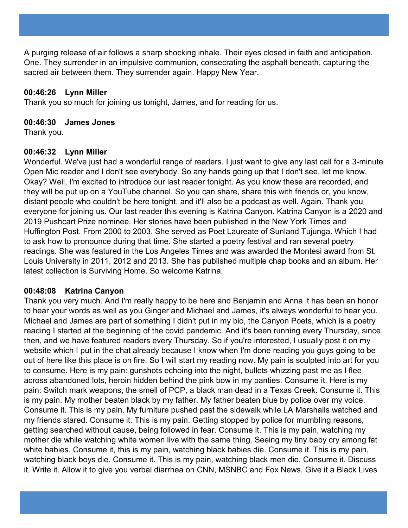A purging release of air follows a sharp shocking inhale. Their eyes closed in faith and anticipation. One. They surrender in an impulsive communion, consecrating the asphalt beneath, capturing the sacred air between them. They surrender again. Happy New Year.

#### **00:46:26 Lynn Miller**

Thank you so much for joining us tonight, James, and for reading for us.

## **00:46:30 James Jones**

Thank you.

## **00:46:32 Lynn Miller**

Wonderful. We've just had a wonderful range of readers. I just want to give any last call for a 3-minute Open Mic reader and I don't see everybody. So any hands going up that I don't see, let me know. Okay? Well, I'm excited to introduce our last reader tonight. As you know these are recorded, and they will be put up on a YouTube channel. So you can share, share this with friends or, you know, distant people who couldn't be here tonight, and it'll also be a podcast as well. Again. Thank you everyone for joining us. Our last reader this evening is Katrina Canyon. Katrina Canyon is a 2020 and 2019 Pushcart Prize nominee. Her stories have been published in the New York Times and Huffington Post. From 2000 to 2003. She served as Poet Laureate of Sunland Tujunga. Which I had to ask how to pronounce during that time. She started a poetry festival and ran several poetry readings. She was featured in the Los Angeles Times and was awarded the Montesi award from St. Louis University in 2011, 2012 and 2013. She has published multiple chap books and an album. Her latest collection is Surviving Home. So welcome Katrina.

# **00:48:08 Katrina Canyon**

Thank you very much. And I'm really happy to be here and Benjamin and Anna it has been an honor to hear your words as well as you Ginger and Michael and James, it's always wonderful to hear you. Michael and James are part of something I didn't put in my bio, the Canyon Poets, which is a poetry reading I started at the beginning of the covid pandemic. And it's been running every Thursday, since then, and we have featured readers every Thursday. So if you're interested, I usually post it on my website which I put in the chat already because I know when I'm done reading you guys going to be out of here like this place is on fire. So I will start my reading now. My pain is sculpted into art for you to consume. Here is my pain: gunshots echoing into the night, bullets whizzing past me as I flee across abandoned lots, heroin hidden behind the pink bow in my panties. Consume it. Here is my pain: Switch mark weapons, the smell of PCP, a black man dead in a Texas Creek. Consume it. This is my pain. My mother beaten black by my father. My father beaten blue by police over my voice. Consume it. This is my pain. My furniture pushed past the sidewalk while LA Marshalls watched and my friends stared. Consume it. This is my pain. Getting stopped by police for mumbling reasons, getting searched without cause, being followed in fear. Consume it. This is my pain, watching my mother die while watching white women live with the same thing. Seeing my tiny baby cry among fat white babies. Consume it, this is my pain, watching black babies die. Consume it. This is my pain, watching black boys die. Consume it. This is my pain, watching black men die. Consume it. Discuss it. Write it. Allow it to give you verbal diarrhea on CNN, MSNBC and Fox News. Give it a Black Lives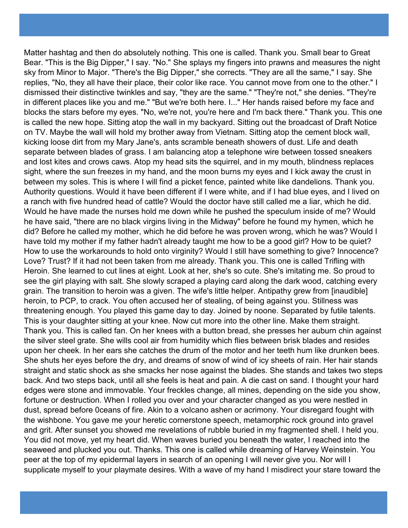Matter hashtag and then do absolutely nothing. This one is called. Thank you. Small bear to Great Bear. "This is the Big Dipper," I say. "No." She splays my fingers into prawns and measures the night sky from Minor to Major. "There's the Big Dipper," she corrects. "They are all the same," I say. She replies, "No, they all have their place, their color like race. You cannot move from one to the other." I dismissed their distinctive twinkles and say, "they are the same." "They're not," she denies. "They're in different places like you and me." "But we're both here. I..." Her hands raised before my face and blocks the stars before my eyes. "No, we're not, you're here and I'm back there." Thank you. This one is called the new hope. Sitting atop the wall in my backyard. Sitting out the broadcast of Draft Notice on TV. Maybe the wall will hold my brother away from Vietnam. Sitting atop the cement block wall, kicking loose dirt from my Mary Jane's, ants scramble beneath showers of dust. Life and death separate between blades of grass. I am balancing atop a telephone wire between tossed sneakers and lost kites and crows caws. Atop my head sits the squirrel, and in my mouth, blindness replaces sight, where the sun freezes in my hand, and the moon burns my eyes and I kick away the crust in between my soles. This is where I will find a picket fence, painted white like dandelions. Thank you. Authority questions. Would it have been different if I were white, and if I had blue eyes, and I lived on a ranch with five hundred head of cattle? Would the doctor have still called me a liar, which he did. Would he have made the nurses hold me down while he pushed the speculum inside of me? Would he have said, "there are no black virgins living in the Midway" before he found my hymen, which he did? Before he called my mother, which he did before he was proven wrong, which he was? Would I have told my mother if my father hadn't already taught me how to be a good girl? How to be quiet? How to use the workarounds to hold onto virginity? Would I still have something to give? Innocence? Love? Trust? If it had not been taken from me already. Thank you. This one is called Trifling with Heroin. She learned to cut lines at eight. Look at her, she's so cute. She's imitating me. So proud to see the girl playing with salt. She slowly scraped a playing card along the dark wood, catching every grain. The transition to heroin was a given. The wife's little helper. Antipathy grew from [inaudible] heroin, to PCP, to crack. You often accused her of stealing, of being against you. Stillness was threatening enough. You played this game day to day. Joined by noone. Separated by futile talents. This is your daughter sitting at your knee. Now cut more into the other line. Make them straight. Thank you. This is called fan. On her knees with a button bread, she presses her auburn chin against the silver steel grate. She wills cool air from humidity which flies between brisk blades and resides upon her cheek. In her ears she catches the drum of the motor and her teeth hum like drunken bees. She shuts her eyes before the dry, and dreams of snow of wind of icy sheets of rain. Her hair stands straight and static shock as she smacks her nose against the blades. She stands and takes two steps back. And two steps back, until all she feels is heat and pain. A die cast on sand. I thought your hard edges were stone and immovable. Your freckles change, all mines, depending on the side you show, fortune or destruction. When I rolled you over and your character changed as you were nestled in dust, spread before 0ceans of fire. Akin to a volcano ashen or acrimony. Your disregard fought with the wishbone. You gave me your heretic cornerstone speech, metamorphic rock ground into gravel and grit. After sunset you showed me revelations of rubble buried in my fragmented shell. I held you. You did not move, yet my heart did. When waves buried you beneath the water, I reached into the seaweed and plucked you out. Thanks. This one is called while dreaming of Harvey Weinstein. You peer at the top of my epidermal layers in search of an opening I will never give you. Nor will I supplicate myself to your playmate desires. With a wave of my hand I misdirect your stare toward the